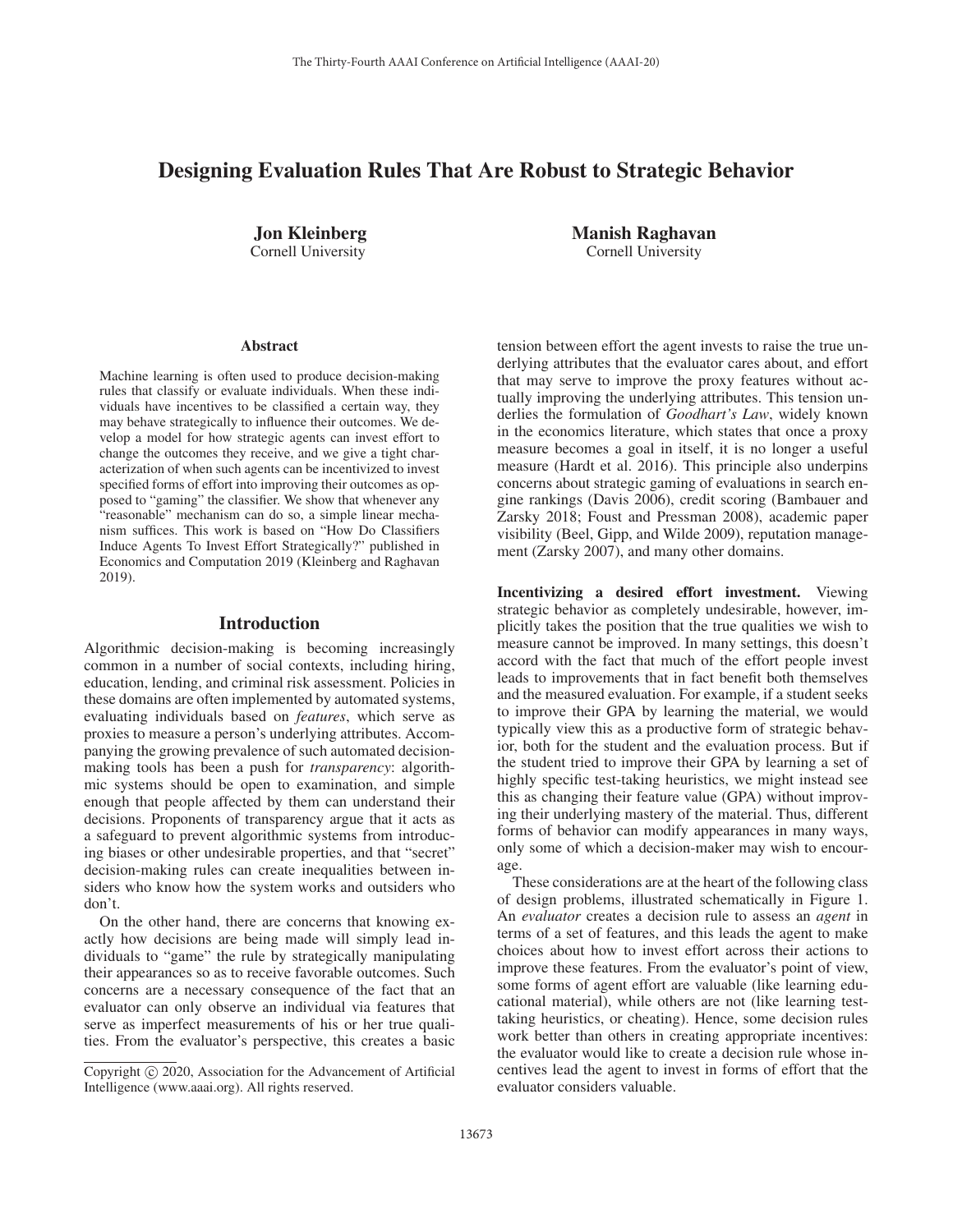# Designing Evaluation Rules That Are Robust to Strategic Behavior

Jon Kleinberg Cornell University

#### Abstract

Machine learning is often used to produce decision-making rules that classify or evaluate individuals. When these individuals have incentives to be classified a certain way, they may behave strategically to influence their outcomes. We develop a model for how strategic agents can invest effort to change the outcomes they receive, and we give a tight characterization of when such agents can be incentivized to invest specified forms of effort into improving their outcomes as opposed to "gaming" the classifier. We show that whenever any "reasonable" mechanism can do so, a simple linear mechanism suffices. This work is based on "How Do Classifiers Induce Agents To Invest Effort Strategically?" published in Economics and Computation 2019 (Kleinberg and Raghavan 2019).

### Introduction

Algorithmic decision-making is becoming increasingly common in a number of social contexts, including hiring, education, lending, and criminal risk assessment. Policies in these domains are often implemented by automated systems, evaluating individuals based on *features*, which serve as proxies to measure a person's underlying attributes. Accompanying the growing prevalence of such automated decisionmaking tools has been a push for *transparency*: algorithmic systems should be open to examination, and simple enough that people affected by them can understand their decisions. Proponents of transparency argue that it acts as a safeguard to prevent algorithmic systems from introducing biases or other undesirable properties, and that "secret" decision-making rules can create inequalities between insiders who know how the system works and outsiders who don't.

On the other hand, there are concerns that knowing exactly how decisions are being made will simply lead individuals to "game" the rule by strategically manipulating their appearances so as to receive favorable outcomes. Such concerns are a necessary consequence of the fact that an evaluator can only observe an individual via features that serve as imperfect measurements of his or her true qualities. From the evaluator's perspective, this creates a basic Manish Raghavan Cornell University

tension between effort the agent invests to raise the true underlying attributes that the evaluator cares about, and effort that may serve to improve the proxy features without actually improving the underlying attributes. This tension underlies the formulation of *Goodhart's Law*, widely known in the economics literature, which states that once a proxy measure becomes a goal in itself, it is no longer a useful measure (Hardt et al. 2016). This principle also underpins concerns about strategic gaming of evaluations in search engine rankings (Davis 2006), credit scoring (Bambauer and Zarsky 2018; Foust and Pressman 2008), academic paper visibility (Beel, Gipp, and Wilde 2009), reputation management (Zarsky 2007), and many other domains.

Incentivizing a desired effort investment. Viewing strategic behavior as completely undesirable, however, implicitly takes the position that the true qualities we wish to measure cannot be improved. In many settings, this doesn't accord with the fact that much of the effort people invest leads to improvements that in fact benefit both themselves and the measured evaluation. For example, if a student seeks to improve their GPA by learning the material, we would typically view this as a productive form of strategic behavior, both for the student and the evaluation process. But if the student tried to improve their GPA by learning a set of highly specific test-taking heuristics, we might instead see this as changing their feature value (GPA) without improving their underlying mastery of the material. Thus, different forms of behavior can modify appearances in many ways, only some of which a decision-maker may wish to encourage.

These considerations are at the heart of the following class of design problems, illustrated schematically in Figure 1. An *evaluator* creates a decision rule to assess an *agent* in terms of a set of features, and this leads the agent to make choices about how to invest effort across their actions to improve these features. From the evaluator's point of view, some forms of agent effort are valuable (like learning educational material), while others are not (like learning testtaking heuristics, or cheating). Hence, some decision rules work better than others in creating appropriate incentives: the evaluator would like to create a decision rule whose incentives lead the agent to invest in forms of effort that the evaluator considers valuable.

Copyright  $\odot$  2020, Association for the Advancement of Artificial Intelligence (www.aaai.org). All rights reserved.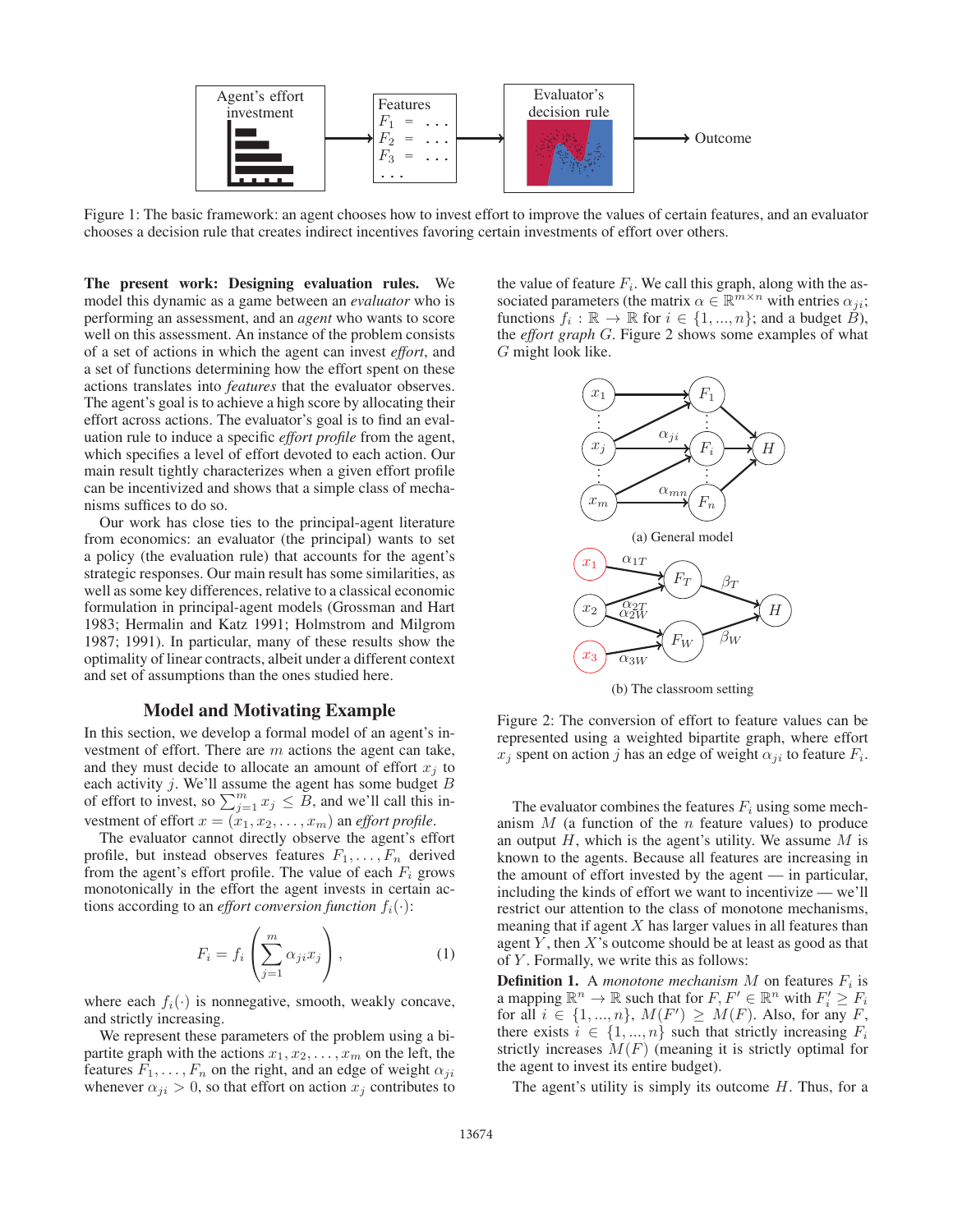

Figure 1: The basic framework: an agent chooses how to invest effort to improve the values of certain features, and an evaluator chooses a decision rule that creates indirect incentives favoring certain investments of effort over others.

The present work: Designing evaluation rules. We model this dynamic as a game between an *evaluator* who is performing an assessment, and an *agent* who wants to score well on this assessment. An instance of the problem consists of a set of actions in which the agent can invest *effort*, and a set of functions determining how the effort spent on these actions translates into *features* that the evaluator observes. The agent's goal is to achieve a high score by allocating their effort across actions. The evaluator's goal is to find an evaluation rule to induce a specific *effort profile* from the agent, which specifies a level of effort devoted to each action. Our main result tightly characterizes when a given effort profile can be incentivized and shows that a simple class of mechanisms suffices to do so.

Our work has close ties to the principal-agent literature from economics: an evaluator (the principal) wants to set a policy (the evaluation rule) that accounts for the agent's strategic responses. Our main result has some similarities, as well as some key differences, relative to a classical economic formulation in principal-agent models (Grossman and Hart 1983; Hermalin and Katz 1991; Holmstrom and Milgrom 1987; 1991). In particular, many of these results show the optimality of linear contracts, albeit under a different context and set of assumptions than the ones studied here.

## Model and Motivating Example

In this section, we develop a formal model of an agent's investment of effort. There are  $m$  actions the agent can take, and they must decide to allocate an amount of effort  $x_i$  to each activity  $j$ . We'll assume the agent has some budget  $B$ of effort to invest, so  $\sum_{j=1}^{m} x_j \leq B$ , and we'll call this investment of effort  $x = (x_1, x_2, \dots, x_m)$  an *effort profile*.

The evaluator cannot directly observe the agent's effort profile, but instead observes features  $F_1, \ldots, F_n$  derived from the agent's effort profile. The value of each  $F_i$  grows monotonically in the effort the agent invests in certain actions according to an *effort conversion function*  $f_i(\cdot)$ :

$$
F_i = f_i \left( \sum_{j=1}^m \alpha_{ji} x_j \right), \tag{1}
$$

where each  $f_i(\cdot)$  is nonnegative, smooth, weakly concave, and strictly increasing.

We represent these parameters of the problem using a bipartite graph with the actions  $x_1, x_2, \ldots, x_m$  on the left, the features  $F_1, \ldots, F_n$  on the right, and an edge of weight  $\alpha_{ji}$ whenever  $\alpha_{ii} > 0$ , so that effort on action  $x_i$  contributes to

the value of feature  $F_i$ . We call this graph, along with the associated parameters (the matrix  $\alpha \in \mathbb{R}^{m \times n}$  with entries  $\alpha_{ii}$ ; functions  $f_i : \mathbb{R} \to \mathbb{R}$  for  $i \in \{1, ..., n\}$ ; and a budget  $\tilde{B}$ ), the *effort graph* G. Figure 2 shows some examples of what G might look like.



(b) The classroom setting

Figure 2: The conversion of effort to feature values can be represented using a weighted bipartite graph, where effort  $x_i$  spent on action j has an edge of weight  $\alpha_{ii}$  to feature  $F_i$ .

The evaluator combines the features  $F_i$  using some mechanism  $M$  (a function of the  $n$  feature values) to produce an output  $H$ , which is the agent's utility. We assume  $M$  is known to the agents. Because all features are increasing in the amount of effort invested by the agent — in particular, including the kinds of effort we want to incentivize — we'll restrict our attention to the class of monotone mechanisms, meaning that if agent  $X$  has larger values in all features than agent Y, then  $X$ 's outcome should be at least as good as that of Y . Formally, we write this as follows:

**Definition 1.** A *monotone mechanism*  $M$  on features  $F_i$  is a mapping  $\mathbb{R}^n \to \mathbb{R}$  such that for  $F, F' \in \mathbb{R}^n$  with  $F'_i \geq F_i$ for all  $i \in \{1, ..., n\}$ ,  $M(F') \ge M(F)$ . Also, for any F,<br>there exists  $i \in \{1, ..., n\}$  such that strictly increasing F. there exists  $i \in \{1, ..., n\}$  such that strictly increasing  $F_i$ strictly increases  $M(F)$  (meaning it is strictly optimal for the agent to invest its entire budget).

The agent's utility is simply its outcome  $H$ . Thus, for a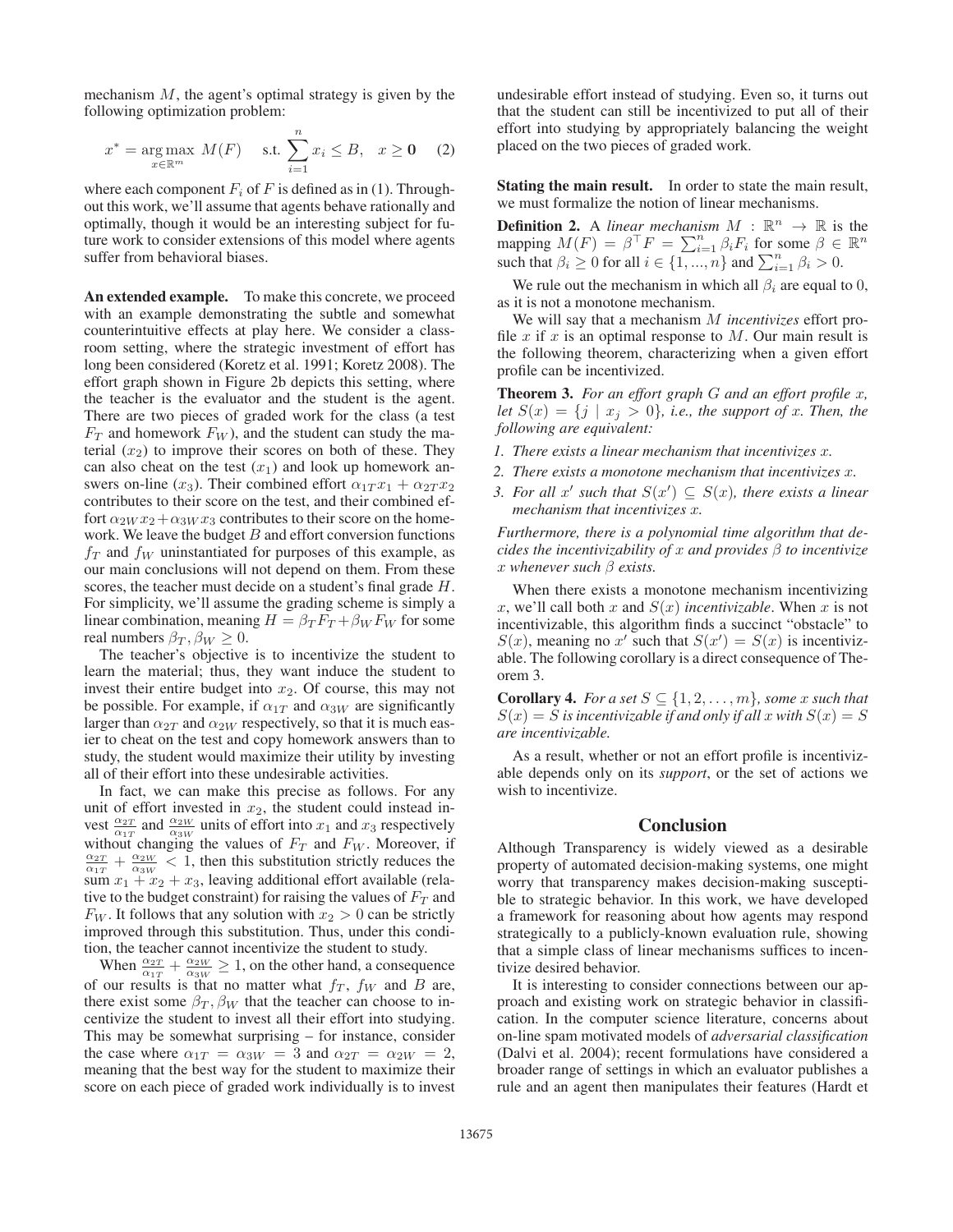mechanism  $M$ , the agent's optimal strategy is given by the following optimization problem:

$$
x^* = \underset{x \in \mathbb{R}^m}{\arg \max} \ M(F) \quad \text{s.t.} \ \sum_{i=1}^n x_i \le B, \ \ x \ge \mathbf{0} \tag{2}
$$

where each component  $F_i$  of F is defined as in (1). Throughout this work, we'll assume that agents behave rationally and optimally, though it would be an interesting subject for future work to consider extensions of this model where agents suffer from behavioral biases.

An extended example. To make this concrete, we proceed with an example demonstrating the subtle and somewhat counterintuitive effects at play here. We consider a classroom setting, where the strategic investment of effort has long been considered (Koretz et al. 1991; Koretz 2008). The effort graph shown in Figure 2b depicts this setting, where the teacher is the evaluator and the student is the agent. There are two pieces of graded work for the class (a test  $F_T$  and homework  $F_W$ ), and the student can study the material  $(x_2)$  to improve their scores on both of these. They can also cheat on the test  $(x_1)$  and look up homework answers on-line (x<sub>3</sub>). Their combined effort  $\alpha_1 \tau x_1 + \alpha_2 \tau x_2$ contributes to their score on the test, and their combined effort  $\alpha_{2W} x_2 + \alpha_{3W} x_3$  contributes to their score on the homework. We leave the budget  $B$  and effort conversion functions  $f_T$  and  $f_W$  uninstantiated for purposes of this example, as our main conclusions will not depend on them. From these scores, the teacher must decide on a student's final grade  $H$ . For simplicity, we'll assume the grading scheme is simply a linear combination, meaning  $H = \beta_T F_T + \beta_W F_W$  for some real numbers  $\beta_T$ ,  $\beta_W \geq 0$ .

The teacher's objective is to incentivize the student to learn the material; thus, they want induce the student to invest their entire budget into  $x_2$ . Of course, this may not be possible. For example, if  $\alpha_{1T}$  and  $\alpha_{3W}$  are significantly larger than  $\alpha_{2T}$  and  $\alpha_{2W}$  respectively, so that it is much easier to cheat on the test and copy homework answers than to study, the student would maximize their utility by investing all of their effort into these undesirable activities.

In fact, we can make this precise as follows. For any unit of effort invested in  $x_2$ , the student could instead invest  $\frac{\alpha_{2T}}{\alpha_{1T}}$  and  $\frac{\alpha_{2W}}{\alpha_{3W}}$  units of effort into  $x_1$  and  $x_3$  respectively without changing the values of  $F_T$  and  $F_W$ . Moreover, if  $\frac{\alpha_{2T}}{\alpha_{1T}} + \frac{\alpha_{2W}}{\alpha_{3W}} < 1$ , then this substitution strictly reduces the sum  $x_1 + x_2 + x_3$ , leaving additional effort available (relative to the budget constraint) for raising the values of  $F_T$  and  $F_W$ . It follows that any solution with  $x_2 > 0$  can be strictly improved through this substitution. Thus, under this condition, the teacher cannot incentivize the student to study.

When  $\frac{\alpha_{2T}}{\alpha_{1T}} + \frac{\alpha_{2W}}{\alpha_{3W}} \ge 1$ , on the other hand, a consequence of our results is that no matter what  $f_T$ ,  $f_W$  and B are, there exist some  $\beta_T$ ,  $\beta_W$  that the teacher can choose to incentivize the student to invest all their effort into studying. This may be somewhat surprising – for instance, consider the case where  $\alpha_{1T} = \alpha_{3W} = 3$  and  $\alpha_{2T} = \alpha_{2W} = 2$ , meaning that the best way for the student to maximize their score on each piece of graded work individually is to invest

undesirable effort instead of studying. Even so, it turns out that the student can still be incentivized to put all of their effort into studying by appropriately balancing the weight placed on the two pieces of graded work.

Stating the main result. In order to state the main result, we must formalize the notion of linear mechanisms.

**Definition 2.** A *linear mechanism*  $M : \mathbb{R}^n \to \mathbb{R}$  is the mapping  $M(F) = \beta^{\top} F = \sum_{i=1}^{n} \beta_i F_i$  for some  $\beta \in \mathbb{R}^n$ <br>such that  $\beta_i > 0$  for all  $i \in \{1, \ldots, n\}$  and  $\sum_{i=1}^{n} \beta_i > 0$ such that  $\beta_i \geq 0$  for all  $i \in \{1, ..., n\}$  and  $\sum_{i=1}^n \beta_i > 0$ .

We rule out the mechanism in which all  $\beta_i$  are equal to 0, as it is not a monotone mechanism.

We will say that a mechanism M *incentivizes* effort profile x if x is an optimal response to M. Our main result is the following theorem, characterizing when a given effort profile can be incentivized.

Theorem 3. *For an effort graph* G *and an effort profile* x*, let*  $S(x) = \{j \mid x_j > 0\}$ *, i.e., the support of x. Then, the following are equivalent:*

- *1. There exists a linear mechanism that incentivizes* x*.*
- *2. There exists a monotone mechanism that incentivizes* x*.*
- 3. For all x' such that  $S(x') \subseteq S(x)$ , there exists a linear mechanism that incentivizes x *mechanism that incentivizes* x*.*

*Furthermore, there is a polynomial time algorithm that decides the incentivizability of* x *and provides* β *to incentivize* x *whenever such* β *exists.*

When there exists a monotone mechanism incentivizing x, we'll call both x and  $S(x)$  *incentivizable*. When x is not incentivizable, this algorithm finds a succinct "obstacle" to  $S(x)$ , meaning no x' such that  $S(x') = S(x)$  is incentivizable. The following corollary is a direct consequence of Theable. The following corollary is a direct consequence of Theorem 3.

**Corollary 4.** *For a set*  $S \subseteq \{1, 2, \ldots, m\}$ *, some x such that*  $S(x) = S$  *is incentivizable if and only if all* x *with*  $S(x) = S$ *are incentivizable.*

As a result, whether or not an effort profile is incentivizable depends only on its *support*, or the set of actions we wish to incentivize.

#### Conclusion

Although Transparency is widely viewed as a desirable property of automated decision-making systems, one might worry that transparency makes decision-making susceptible to strategic behavior. In this work, we have developed a framework for reasoning about how agents may respond strategically to a publicly-known evaluation rule, showing that a simple class of linear mechanisms suffices to incentivize desired behavior.

It is interesting to consider connections between our approach and existing work on strategic behavior in classification. In the computer science literature, concerns about on-line spam motivated models of *adversarial classification* (Dalvi et al. 2004); recent formulations have considered a broader range of settings in which an evaluator publishes a rule and an agent then manipulates their features (Hardt et